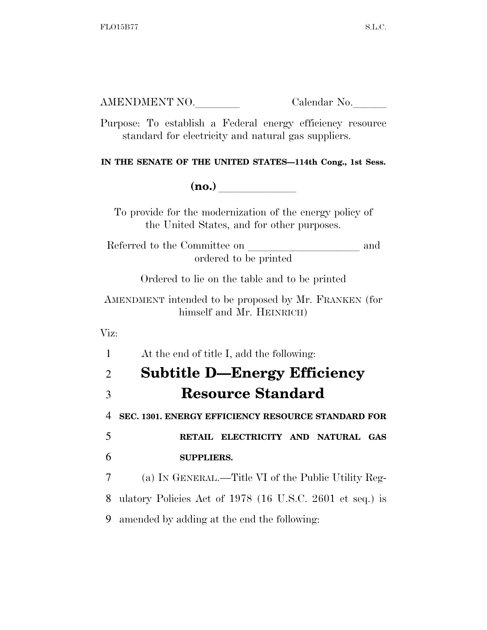| AMENDMENT NO. | Calendar No. |
|---------------|--------------|
|               |              |

Purpose: To establish a Federal energy efficiency resource standard for electricity and natural gas suppliers.

**IN THE SENATE OF THE UNITED STATES—114th Cong., 1st Sess.** 

**(no.)**  $\qquad \qquad \qquad$ 

To provide for the modernization of the energy policy of the United States, and for other purposes.

Referred to the Committee on and ordered to be printed

Ordered to lie on the table and to be printed

AMENDMENT intended to be proposed by Mr. FRANKEN (for himself and Mr. HEINRICH)

Viz:

1 At the end of title I, add the following:

|               | <b>Subtitle D-Energy Efficiency</b><br>$\overline{2}$ |
|---------------|-------------------------------------------------------|
| $\mathcal{E}$ | <b>Resource Standard</b>                              |
|               | 4 SEC. 1301. ENERGY EFFICIENCY RESOURCE STANDARD FOR  |

5 **RETAIL ELECTRICITY AND NATURAL GAS**  6 **SUPPLIERS.** 

7 (a) IN GENERAL.—Title VI of the Public Utility Reg-8 ulatory Policies Act of 1978 (16 U.S.C. 2601 et seq.) is 9 amended by adding at the end the following: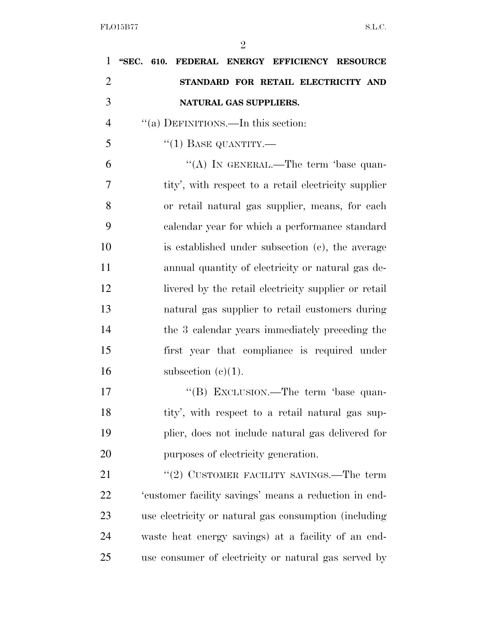| $\mathbf{1}$   | "SEC. 610. FEDERAL ENERGY EFFICIENCY RESOURCE         |  |  |
|----------------|-------------------------------------------------------|--|--|
| $\overline{2}$ | STANDARD FOR RETAIL ELECTRICITY AND                   |  |  |
| 3              | NATURAL GAS SUPPLIERS.                                |  |  |
| $\overline{4}$ | "(a) DEFINITIONS.—In this section:                    |  |  |
| 5              | $``(1)$ BASE QUANTITY.—                               |  |  |
| 6              | "(A) IN GENERAL.—The term 'base quan-                 |  |  |
| 7              | tity', with respect to a retail electricity supplier  |  |  |
| 8              | or retail natural gas supplier, means, for each       |  |  |
| 9              | calendar year for which a performance standard        |  |  |
| 10             | is established under subsection (c), the average      |  |  |
| 11             | annual quantity of electricity or natural gas de-     |  |  |
| 12             | livered by the retail electricity supplier or retail  |  |  |
| 13             | natural gas supplier to retail customers during       |  |  |
| 14             | the 3 calendar years immediately preceding the        |  |  |
| 15             | first year that compliance is required under          |  |  |
| 16             | subsection $(c)(1)$ .                                 |  |  |
| 17             | "(B) EXCLUSION.—The term 'base quan-                  |  |  |
| 18             | tity', with respect to a retail natural gas sup-      |  |  |
| 19             | plier, does not include natural gas delivered for     |  |  |
| 20             | purposes of electricity generation.                   |  |  |
| 21             | "(2) CUSTOMER FACILITY SAVINGS.—The term              |  |  |
| 22             | 'customer facility savings' means a reduction in end- |  |  |
| 23             | use electricity or natural gas consumption (including |  |  |
| 24             | waste heat energy savings) at a facility of an end-   |  |  |
| 25             | use consumer of electricity or natural gas served by  |  |  |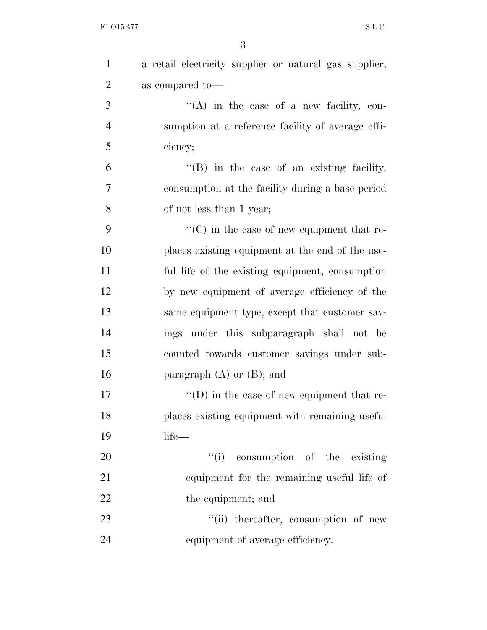| $\mathbf{1}$   | a retail electricity supplier or natural gas supplier, |
|----------------|--------------------------------------------------------|
| $\overline{2}$ | as compared to-                                        |
| 3              | $\lq\lq$ in the case of a new facility, con-           |
| $\overline{4}$ | sumption at a reference facility of average effi-      |
| 5              | ciency;                                                |
| 6              | $\lq\lq$ (B) in the case of an existing facility,      |
| 7              | consumption at the facility during a base period       |
| 8              | of not less than 1 year;                               |
| 9              | $\cdot\cdot$ (C) in the case of new equipment that re- |
| 10             | places existing equipment at the end of the use-       |
| 11             | ful life of the existing equipment, consumption        |
| 12             | by new equipment of average efficiency of the          |
| 13             | same equipment type, except that customer sav-         |
| 14             | ings under this subparagraph shall not be              |
| 15             | counted towards customer savings under sub-            |
| 16             | paragraph $(A)$ or $(B)$ ; and                         |
| 17             | $\lq\lq$ (D) in the case of new equipment that re-     |
| 18             | places existing equipment with remaining useful        |
| 19             | life-                                                  |
| 20             | "(i) consumption of the existing                       |
| 21             | equipment for the remaining useful life of             |
| 22             | the equipment; and                                     |
| 23             | "(ii) thereafter, consumption of new                   |
| 24             | equipment of average efficiency.                       |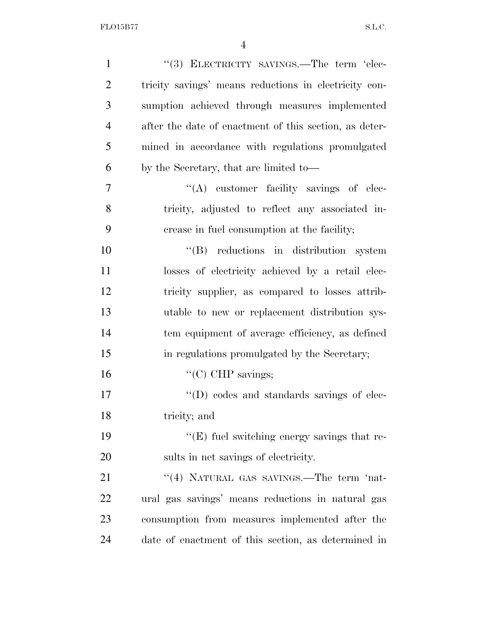| $\mathbf{1}$   | "(3) ELECTRICITY SAVINGS.—The term 'elec-              |
|----------------|--------------------------------------------------------|
| $\overline{2}$ | tricity savings' means reductions in electricity con-  |
| 3              | sumption achieved through measures implemented         |
| $\overline{4}$ | after the date of enactment of this section, as deter- |
| 5              | mined in accordance with regulations promulgated       |
| 6              | by the Secretary, that are limited to—                 |
| $\overline{7}$ | "(A) customer facility savings of elec-                |
| 8              | tricity, adjusted to reflect any associated in-        |
| 9              | crease in fuel consumption at the facility;            |
| 10             | "(B) reductions in distribution system                 |
| 11             | losses of electricity achieved by a retail elec-       |
| 12             | tricity supplier, as compared to losses attrib-        |
| 13             | utable to new or replacement distribution sys-         |
| 14             | tem equipment of average efficiency, as defined        |
| 15             | in regulations promulgated by the Secretary;           |
| 16             | " $(C)$ CHP savings;                                   |
| 17             | $\lq\lq$ (D) codes and standards savings of elec-      |
| 18             | tricity; and                                           |
| 19             | $\lq\lq$ (E) fuel switching energy savings that re-    |
| 20             | sults in net savings of electricity.                   |
| 21             | "(4) NATURAL GAS SAVINGS.—The term 'nat-               |
| 22             | ural gas savings' means reductions in natural gas      |
| 23             | consumption from measures implemented after the        |
| 24             | date of enactment of this section, as determined in    |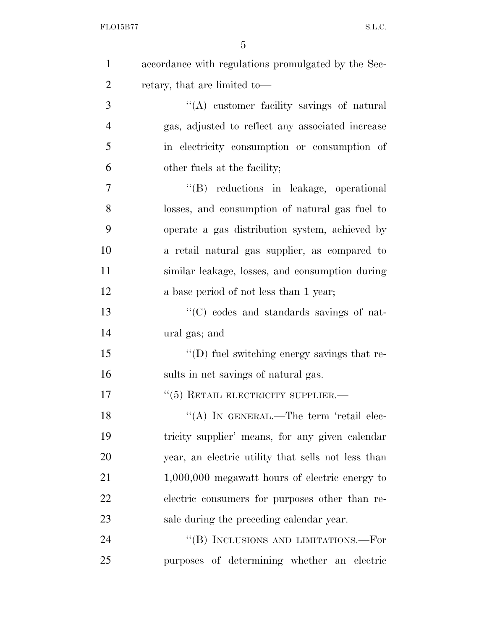| $\mathbf{1}$   | accordance with regulations promulgated by the Sec- |
|----------------|-----------------------------------------------------|
| $\overline{2}$ | retary, that are limited to-                        |
| 3              | "(A) customer facility savings of natural           |
| $\overline{4}$ | gas, adjusted to reflect any associated increase    |
| 5              | in electricity consumption or consumption of        |
| 6              | other fuels at the facility;                        |
| 7              | "(B) reductions in leakage, operational             |
| 8              | losses, and consumption of natural gas fuel to      |
| 9              | operate a gas distribution system, achieved by      |
| 10             | a retail natural gas supplier, as compared to       |
| 11             | similar leakage, losses, and consumption during     |
| 12             | a base period of not less than 1 year;              |
| 13             | "(C) codes and standards savings of nat-            |
| 14             | ural gas; and                                       |
| 15             | $\lq\lq$ (D) fuel switching energy savings that re- |
| 16             | sults in net savings of natural gas.                |
| 17             | $``(5)$ RETAIL ELECTRICITY SUPPLIER.—               |
| 18             | "(A) IN GENERAL.—The term 'retail elec-             |
| 19             | tricity supplier' means, for any given calendar     |
| 20             | year, an electric utility that sells not less than  |
| 21             | $1,000,000$ megawatt hours of electric energy to    |
| 22             | electric consumers for purposes other than re-      |
| 23             | sale during the preceding calendar year.            |
| 24             | "(B) INCLUSIONS AND LIMITATIONS.—For                |
| 25             | purposes of determining whether an electric         |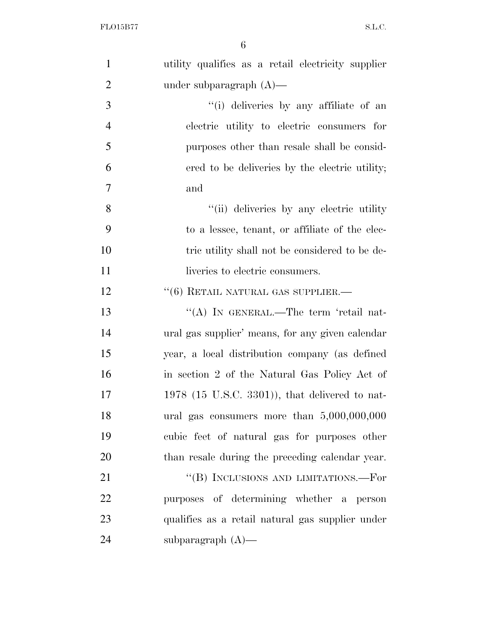| $\mathbf{1}$   | utility qualifies as a retail electricity supplier |
|----------------|----------------------------------------------------|
| $\overline{2}$ | under subparagraph $(A)$ —                         |
| 3              | "(i) deliveries by any affiliate of an             |
| $\overline{4}$ | electric utility to electric consumers for         |
| 5              | purposes other than resale shall be consid-        |
| 6              | ered to be deliveries by the electric utility;     |
| $\overline{7}$ | and                                                |
| 8              | "(ii) deliveries by any electric utility           |
| 9              | to a lessee, tenant, or affiliate of the elec-     |
| 10             | tric utility shall not be considered to be de-     |
| 11             | liveries to electric consumers.                    |
| 12             | $``(6)$ RETAIL NATURAL GAS SUPPLIER.—              |
| 13             | "(A) IN GENERAL.—The term 'retail nat-             |
| 14             | ural gas supplier' means, for any given calendar   |
| 15             | year, a local distribution company (as defined     |
| 16             | in section 2 of the Natural Gas Policy Act of      |
| 17             | $1978$ (15 U.S.C. 3301)), that delivered to nat-   |
| 18             | ural gas consumers more than $5,000,000,000$       |
| 19             | cubic feet of natural gas for purposes other       |
| 20             | than resale during the preceding calendar year.    |
| 21             | "(B) INCLUSIONS AND LIMITATIONS.—For               |
| 22             | purposes of determining whether a person           |
| 23             | qualifies as a retail natural gas supplier under   |
| 24             | subparagraph $(A)$ —                               |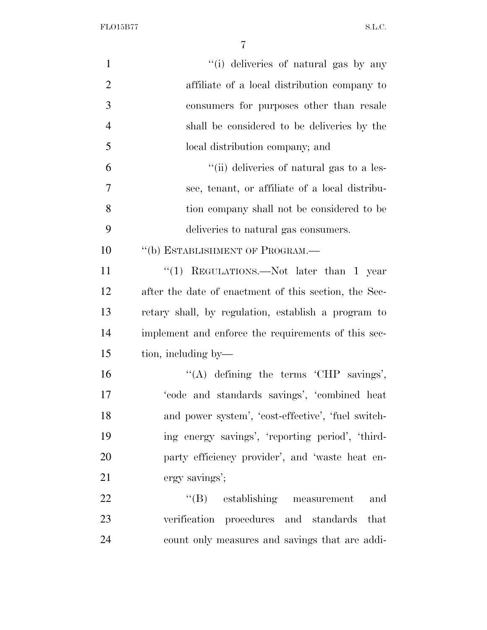FLO15B77 S.L.C.

| "(i) deliveries of natural gas by any                 |
|-------------------------------------------------------|
| affiliate of a local distribution company to          |
| consumers for purposes other than resale              |
| shall be considered to be deliveries by the           |
| local distribution company; and                       |
| "(ii) deliveries of natural gas to a les-             |
| see, tenant, or affiliate of a local distribu-        |
| tion company shall not be considered to be            |
| deliveries to natural gas consumers.                  |
| "(b) ESTABLISHMENT OF PROGRAM.-                       |
| "(1) REGULATIONS.—Not later than 1 year               |
| after the date of enactment of this section, the Sec- |
| retary shall, by regulation, establish a program to   |
| implement and enforce the requirements of this sec-   |
| tion, including by—                                   |
| "(A) defining the terms 'CHP savings',                |
| 'code and standards savings', 'combined heat          |
| and power system', 'cost-effective', 'fuel switch-    |
| ing energy savings', 'reporting period', 'third-      |
| party efficiency provider', and 'waste heat en-       |
| ergy savings';                                        |
| $\lq\lq (B)$ establishing measurement<br>and          |
| verification procedures and standards that            |
| count only measures and savings that are addi-        |
|                                                       |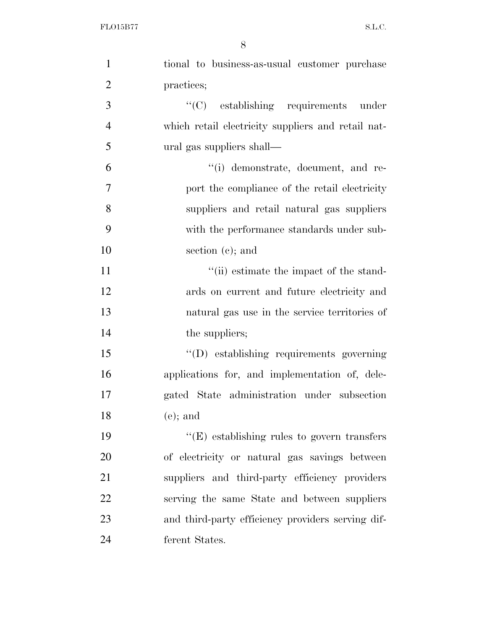| $\mathbf{1}$     | tional to business-as-usual customer purchase      |
|------------------|----------------------------------------------------|
| $\overline{2}$   | practices;                                         |
| 3                | $\lq\lq$ establishing requirements under           |
| $\overline{4}$   | which retail electricity suppliers and retail nat- |
| 5                | ural gas suppliers shall—                          |
| 6                | "(i) demonstrate, document, and re-                |
| $\boldsymbol{7}$ | port the compliance of the retail electricity      |
| 8                | suppliers and retail natural gas suppliers         |
| 9                | with the performance standards under sub-          |
| 10               | section $(e)$ ; and                                |
| 11               | "(ii) estimate the impact of the stand-            |
| 12               | ards on current and future electricity and         |
| 13               | natural gas use in the service territories of      |
| 14               | the suppliers;                                     |
| 15               | "(D) establishing requirements governing           |
| 16               | applications for, and implementation of, dele-     |
| 17               | gated State administration under subsection        |
| 18               | $(e)$ ; and                                        |
| 19               | $\lq\lq(E)$ establishing rules to govern transfers |
| 20               | of electricity or natural gas savings between      |
| 21               | suppliers and third-party efficiency providers     |
| 22               | serving the same State and between suppliers       |
| 23               | and third-party efficiency providers serving dif-  |
| 24               | ferent States.                                     |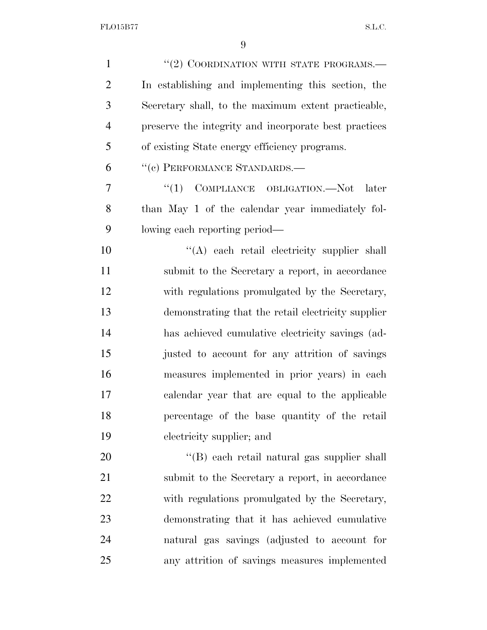| $\mathbf{1}$   | "(2) COORDINATION WITH STATE PROGRAMS.-               |
|----------------|-------------------------------------------------------|
| $\overline{2}$ | In establishing and implementing this section, the    |
| 3              | Secretary shall, to the maximum extent practicable,   |
| $\overline{4}$ | preserve the integrity and incorporate best practices |
| 5              | of existing State energy efficiency programs.         |
| 6              | "(c) PERFORMANCE STANDARDS.-                          |
| 7              | COMPLIANCE OBLIGATION.-Not<br>``(1)<br>later          |
| 8              | than May 1 of the calendar year immediately fol-      |
| 9              | lowing each reporting period—                         |
| 10             | "(A) each retail electricity supplier shall           |
| 11             | submit to the Secretary a report, in accordance       |
| 12             | with regulations promulgated by the Secretary,        |
| 13             | demonstrating that the retail electricity supplier    |
| 14             | has achieved cumulative electricity savings (ad-      |
| 15             | justed to account for any attrition of savings        |
| 16             | measures implemented in prior years) in each          |
| 17             | calendar year that are equal to the applicable        |
| 18             | percentage of the base quantity of the retail         |
| 19             | electricity supplier; and                             |
| 20             | "(B) each retail natural gas supplier shall           |
| 21             | submit to the Secretary a report, in accordance       |
| 22             | with regulations promulgated by the Secretary,        |
| 23             | demonstrating that it has achieved cumulative         |
| 24             | natural gas savings (adjusted to account for          |
| 25             | any attrition of savings measures implemented         |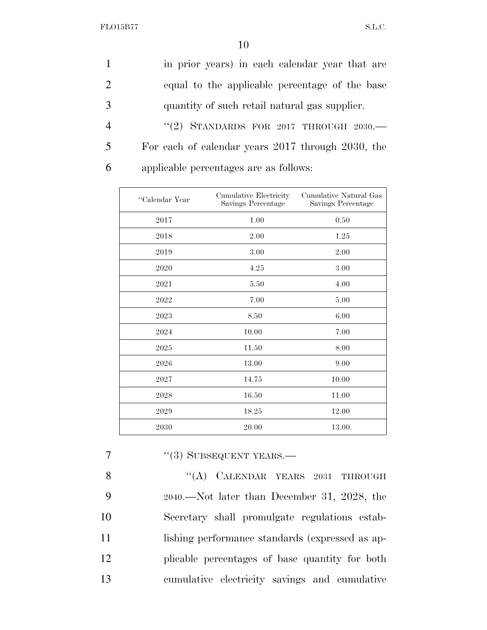|                | in prior years) in each calendar year that are    |
|----------------|---------------------------------------------------|
|                | equal to the applicable percentage of the base    |
|                | quantity of such retail natural gas supplier.     |
| $\overline{4}$ | "(2) STANDARDS FOR 2017 THROUGH $2030$ .          |
| 5              | For each of calendar years 2017 through 2030, the |
| 6              | applicable percentages are as follows:            |

| "Calendar Year | Cumulative Electricity<br>Savings Percentage | Cumulative Natural Gas<br>Savings Percentage |
|----------------|----------------------------------------------|----------------------------------------------|
| 2017           | 1.00                                         | 0.50                                         |
| 2018           | 2.00                                         | 1.25                                         |
| 2019           | 3.00                                         | 2.00                                         |
| 2020           | 4.25                                         | 3.00                                         |
| 2021           | 5.50                                         | 4.00                                         |
| 2022           | 7.00                                         | 5.00                                         |
| 2023           | 8.50                                         | 6.00                                         |
| 2024           | 10.00                                        | 7.00                                         |
| 2025           | 11.50                                        | 8.00                                         |
| 2026           | 13.00                                        | 9.00                                         |
| 2027           | 14.75                                        | 10.00                                        |
| 2028           | 16.50                                        | 11.00                                        |
| 2029           | 18.25                                        | 12.00                                        |
| 2030           | 20.00                                        | 13.00.                                       |

## 7 "(3) SUBSEQUENT YEARS.—

8 "(A) CALENDAR YEARS 2031 THROUGH 2040.—Not later than December 31, 2028, the Secretary shall promulgate regulations estab-11 lishing performance standards (expressed as ap- plicable percentages of base quantity for both cumulative electricity savings and cumulative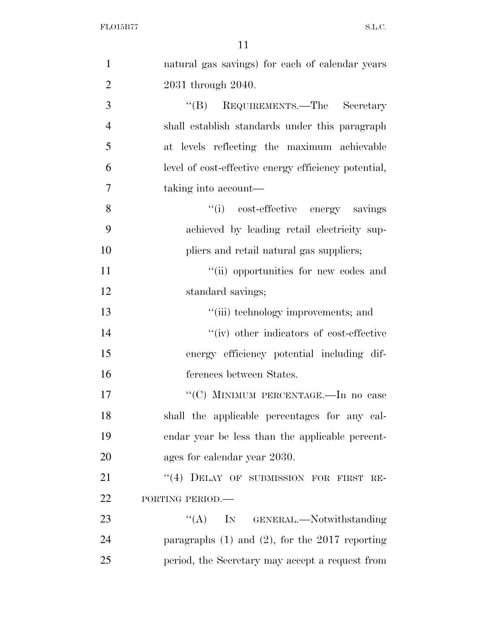| $\mathbf{1}$   | natural gas savings) for each of calendar years      |
|----------------|------------------------------------------------------|
| $\overline{2}$ | 2031 through 2040.                                   |
| 3              | "(B) REQUIREMENTS.—The Secretary                     |
| $\overline{4}$ | shall establish standards under this paragraph       |
| 5              | at levels reflecting the maximum achievable          |
| 6              | level of cost-effective energy efficiency potential, |
| 7              | taking into account—                                 |
| 8              | "(i) cost-effective energy savings                   |
| 9              | achieved by leading retail electricity sup-          |
| 10             | pliers and retail natural gas suppliers;             |
| 11             | "(ii) opportunities for new codes and                |
| 12             | standard savings;                                    |
| 13             | "(iii) technology improvements; and                  |
| 14             | "(iv) other indicators of cost-effective             |
| 15             | energy efficiency potential including dif-           |
| 16             | ferences between States.                             |
| 17             | "(C) MINIMUM PERCENTAGE.—In no case                  |
| 18             | shall the applicable percentages for any cal-        |
| 19             | endar year be less than the applicable percent-      |
| 20             | ages for calendar year 2030.                         |
| 21             | "(4) DELAY OF SUBMISSION FOR FIRST RE-               |
| 22             | PORTING PERIOD.-                                     |
| 23             | $\lq\lq (A)$<br>IN GENERAL.—Notwithstanding          |
| 24             | paragraphs $(1)$ and $(2)$ , for the 2017 reporting  |
| 25             | period, the Secretary may accept a request from      |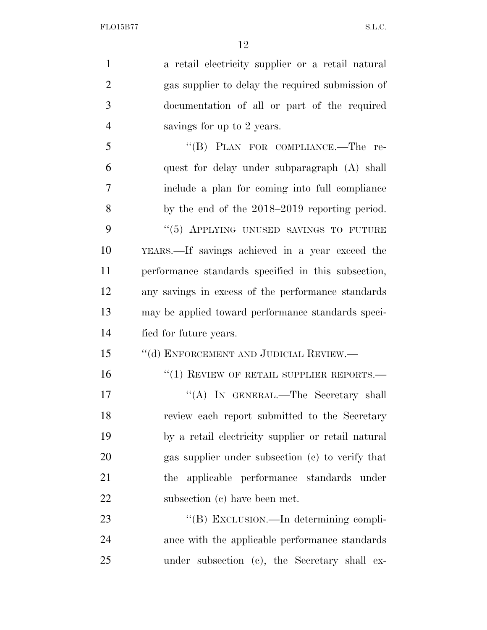| $\mathbf{1}$   | a retail electricity supplier or a retail natural   |
|----------------|-----------------------------------------------------|
| $\overline{2}$ | gas supplier to delay the required submission of    |
| 3              | documentation of all or part of the required        |
| $\overline{4}$ | savings for up to 2 years.                          |
| 5              | "(B) PLAN FOR COMPLIANCE.—The re-                   |
| 6              | quest for delay under subparagraph (A) shall        |
| 7              | include a plan for coming into full compliance      |
| 8              | by the end of the $2018-2019$ reporting period.     |
| 9              | "(5) APPLYING UNUSED SAVINGS TO FUTURE              |
| 10             | YEARS.—If savings achieved in a year exceed the     |
| 11             | performance standards specified in this subsection, |
| 12             | any savings in excess of the performance standards  |
| 13             | may be applied toward performance standards speci-  |
| 14             | fied for future years.                              |
| 15             | "(d) ENFORCEMENT AND JUDICIAL REVIEW.—              |
| 16             | $``(1)$ REVIEW OF RETAIL SUPPLIER REPORTS.—         |
| 17             | "(A) IN GENERAL.—The Secretary shall                |
| 18             | review each report submitted to the Secretary       |
| 19             | by a retail electricity supplier or retail natural  |
| 20             | gas supplier under subsection (c) to verify that    |
| 21             | applicable performance standards under<br>the       |
| 22             | subsection (c) have been met.                       |
| 23             | "(B) EXCLUSION.—In determining compli-              |
| 24             | ance with the applicable performance standards      |
| 25             | under subsection (c), the Secretary shall ex-       |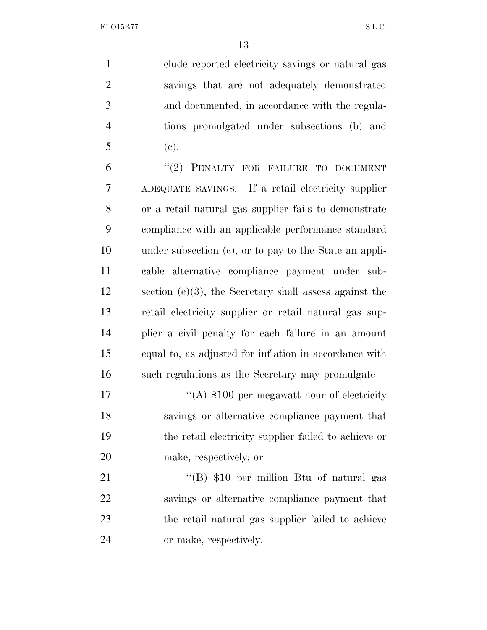clude reported electricity savings or natural gas savings that are not adequately demonstrated and documented, in accordance with the regula- tions promulgated under subsections (b) and (c). 6 "(2) PENALTY FOR FAILURE TO DOCUMENT ADEQUATE SAVINGS.—If a retail electricity supplier or a retail natural gas supplier fails to demonstrate compliance with an applicable performance standard under subsection (c), or to pay to the State an appli- cable alternative compliance payment under sub- section (e)(3), the Secretary shall assess against the retail electricity supplier or retail natural gas sup- plier a civil penalty for each failure in an amount equal to, as adjusted for inflation in accordance with such regulations as the Secretary may promulgate—  $\langle (A) \, \$100 \rangle$  per megawatt hour of electricity savings or alternative compliance payment that the retail electricity supplier failed to achieve or make, respectively; or 21 ''(B) \$10 per million Btu of natural gas savings or alternative compliance payment that the retail natural gas supplier failed to achieve

or make, respectively.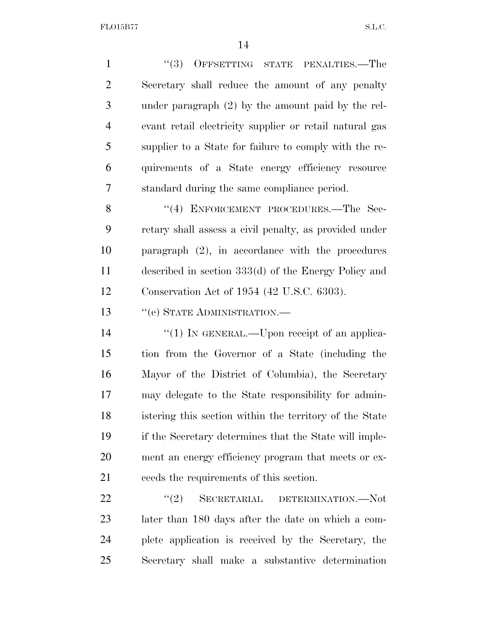FLO15B77 S.L.C.

1 ''(3) OFFSETTING STATE PENALTIES.—The Secretary shall reduce the amount of any penalty under paragraph (2) by the amount paid by the rel- evant retail electricity supplier or retail natural gas supplier to a State for failure to comply with the re- quirements of a State energy efficiency resource standard during the same compliance period. 8 "(4) ENFORCEMENT PROCEDURES.—The Sec- retary shall assess a civil penalty, as provided under paragraph (2), in accordance with the procedures

Conservation Act of 1954 (42 U.S.C. 6303).

described in section 333(d) of the Energy Policy and

13 "(e) STATE ADMINISTRATION.—

 $\frac{1}{2}$  (1) In GENERAL.—Upon receipt of an applica- tion from the Governor of a State (including the Mayor of the District of Columbia), the Secretary may delegate to the State responsibility for admin- istering this section within the territory of the State if the Secretary determines that the State will imple- ment an energy efficiency program that meets or ex-ceeds the requirements of this section.

22 "(2) SECRETARIAL DETERMINATION.—Not later than 180 days after the date on which a com- plete application is received by the Secretary, the Secretary shall make a substantive determination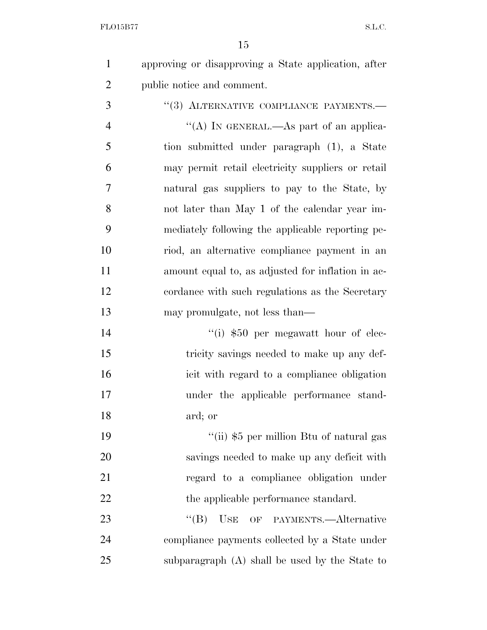approving or disapproving a State application, after public notice and comment.

3 "(3) ALTERNATIVE COMPLIANCE PAYMENTS.—  $''(A)$  In GENERAL.—As part of an applica- tion submitted under paragraph (1), a State may permit retail electricity suppliers or retail natural gas suppliers to pay to the State, by not later than May 1 of the calendar year im- mediately following the applicable reporting pe- riod, an alternative compliance payment in an amount equal to, as adjusted for inflation in ac- cordance with such regulations as the Secretary may promulgate, not less than—

14 ''(i) \$50 per megawatt hour of elec-15 tricity savings needed to make up any def- icit with regard to a compliance obligation under the applicable performance stand-ard; or

 ''(ii) \$5 per million Btu of natural gas savings needed to make up any deficit with regard to a compliance obligation under 22 the applicable performance standard.

23 "(B) USE OF PAYMENTS.—Alternative compliance payments collected by a State under subparagraph (A) shall be used by the State to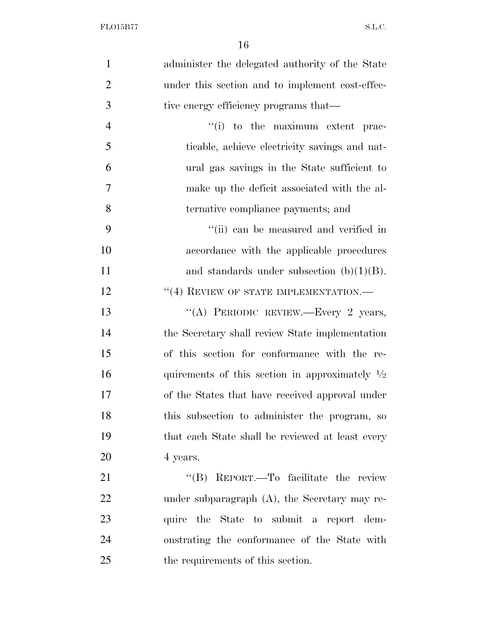| $\mathbf{1}$   | administer the delegated authority of the State           |
|----------------|-----------------------------------------------------------|
| $\overline{2}$ | under this section and to implement cost-effec-           |
| 3              | tive energy efficiency programs that—                     |
| $\overline{4}$ | "(i) to the maximum extent prac-                          |
| 5              | ticable, achieve electricity savings and nat-             |
| 6              | ural gas savings in the State sufficient to               |
| $\tau$         | make up the deficit associated with the al-               |
| 8              | ternative compliance payments; and                        |
| 9              | "(ii) can be measured and verified in                     |
| 10             | accordance with the applicable procedures                 |
| 11             | and standards under subsection $(b)(1)(B)$ .              |
| 12             | $``(4)$ REVIEW OF STATE IMPLEMENTATION.—                  |
| 13             | "(A) PERIODIC REVIEW.-Every 2 years,                      |
| 14             | the Secretary shall review State implementation           |
| 15             | of this section for conformance with the re-              |
| 16             | quirements of this section in approximately $\frac{1}{2}$ |
| 17             | of the States that have received approval under           |
| 18             | this subsection to administer the program, so             |
| 19             | that each State shall be reviewed at least every          |
| 20             | 4 years.                                                  |
| 21             | REPORT.—To facilitate the review<br>$\lq\lq (B)$          |
| 22             | under subparagraph $(A)$ , the Secretary may re-          |
| 23             | quire the State to submit a report dem-                   |
| 24             | onstrating the conformance of the State with              |
| 25             | the requirements of this section.                         |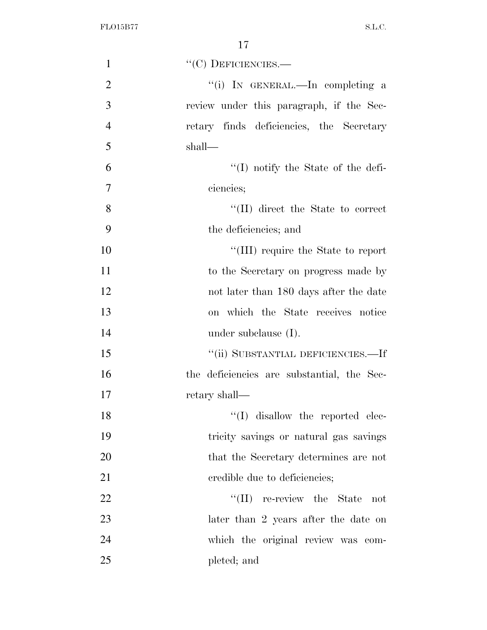| $\mathbf{1}$   | $``(C)$ DEFICIENCIES.—                     |
|----------------|--------------------------------------------|
| $\overline{2}$ | "(i) IN GENERAL.—In completing a           |
| 3              | review under this paragraph, if the Sec-   |
| $\overline{4}$ | retary finds deficiencies, the Secretary   |
| 5              | shall—                                     |
| 6              | $\lq\lq$ (I) notify the State of the defi- |
| $\overline{7}$ | ciencies;                                  |
| 8              | "(II) direct the State to correct          |
| 9              | the deficiencies; and                      |
| 10             | "(III) require the State to report         |
| 11             | to the Secretary on progress made by       |
| 12             | not later than 180 days after the date     |
| 13             | on which the State receives notice         |
| 14             | under subclause $(I)$ .                    |
| 15             | "(ii) SUBSTANTIAL DEFICIENCIES.—If         |
| 16             | the deficiencies are substantial, the Sec- |
| 17             | retary shall—                              |
| 18             | $\lq\lq$ (I) disallow the reported elec-   |
| 19             | tricity savings or natural gas savings     |
| 20             | that the Secretary determines are not      |
| 21             | credible due to deficiencies;              |
| 22             | $\lq\lq$ (II) re-review the State<br>not   |
| 23             | later than 2 years after the date on       |
| 24             | which the original review was com-         |
| 25             | pleted; and                                |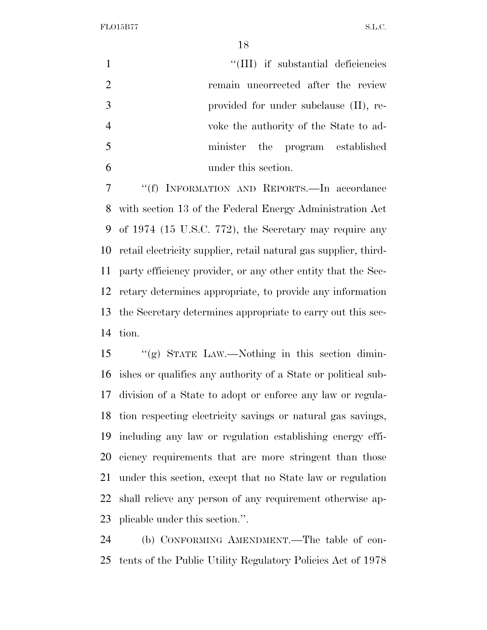FLO15B77 S.L.C.

1 ''(III) if substantial deficiencies remain uncorrected after the review provided for under subclause (II), re- voke the authority of the State to ad- minister the program established under this section.

 ''(f) INFORMATION AND REPORTS.—In accordance with section 13 of the Federal Energy Administration Act of 1974 (15 U.S.C. 772), the Secretary may require any retail electricity supplier, retail natural gas supplier, third- party efficiency provider, or any other entity that the Sec- retary determines appropriate, to provide any information the Secretary determines appropriate to carry out this sec-tion.

 ''(g) STATE LAW.—Nothing in this section dimin- ishes or qualifies any authority of a State or political sub- division of a State to adopt or enforce any law or regula- tion respecting electricity savings or natural gas savings, including any law or regulation establishing energy effi- ciency requirements that are more stringent than those under this section, except that no State law or regulation shall relieve any person of any requirement otherwise ap-plicable under this section.''.

 (b) CONFORMING AMENDMENT.—The table of con-tents of the Public Utility Regulatory Policies Act of 1978